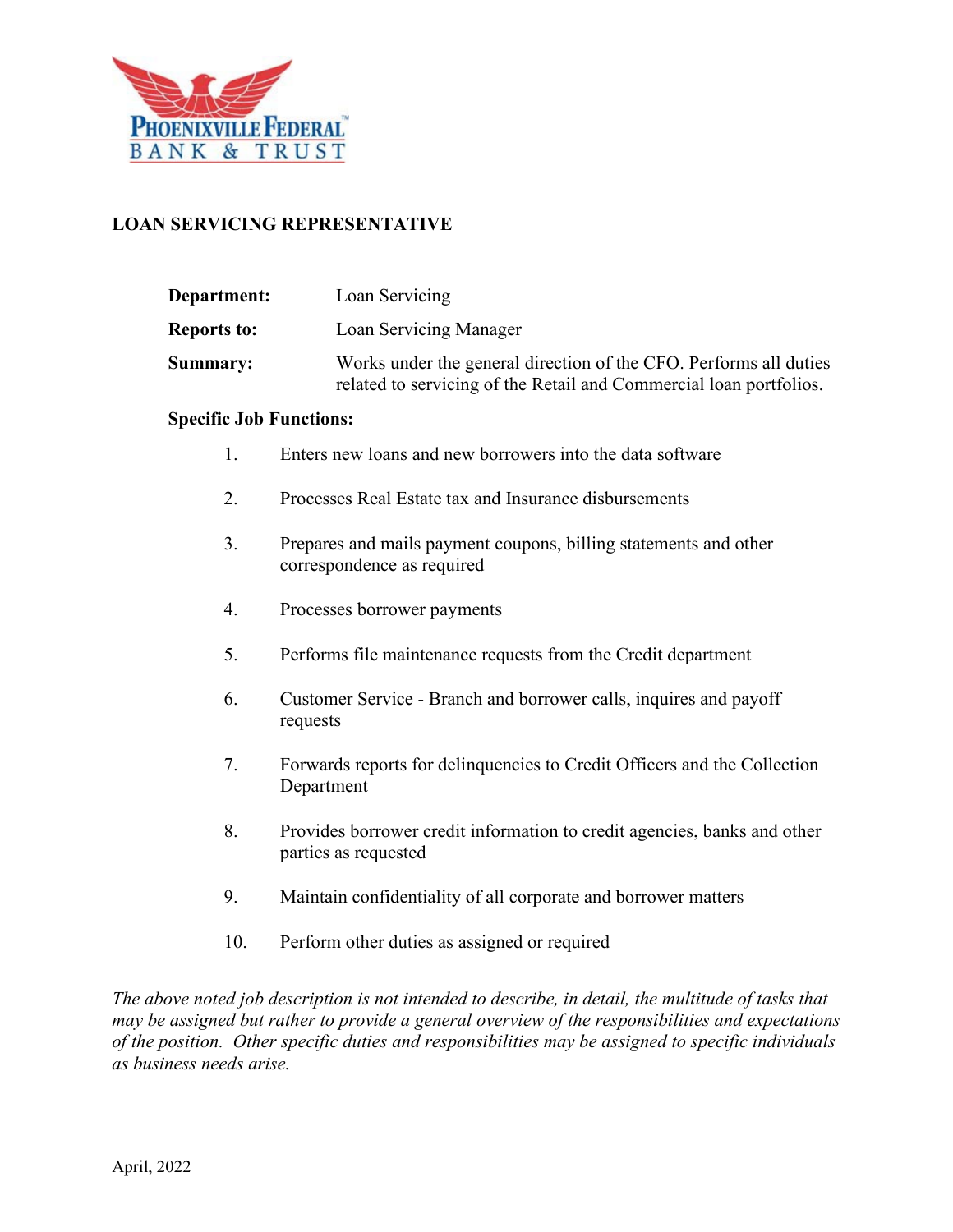

# **LOAN SERVICING REPRESENTATIVE**

| <b>Department:</b> | Loan Servicing                                                                                                                          |
|--------------------|-----------------------------------------------------------------------------------------------------------------------------------------|
| <b>Reports to:</b> | Loan Servicing Manager                                                                                                                  |
| <b>Summary:</b>    | Works under the general direction of the CFO. Performs all duties<br>related to servicing of the Retail and Commercial loan portfolios. |

#### **Specific Job Functions:**

- 1. Enters new loans and new borrowers into the data software
- 2. Processes Real Estate tax and Insurance disbursements
- 3. Prepares and mails payment coupons, billing statements and other correspondence as required
- 4. Processes borrower payments
- 5. Performs file maintenance requests from the Credit department
- 6. Customer Service Branch and borrower calls, inquires and payoff requests
- 7. Forwards reports for delinquencies to Credit Officers and the Collection Department
- 8. Provides borrower credit information to credit agencies, banks and other parties as requested
- 9. Maintain confidentiality of all corporate and borrower matters
- 10. Perform other duties as assigned or required

*The above noted job description is not intended to describe, in detail, the multitude of tasks that may be assigned but rather to provide a general overview of the responsibilities and expectations of the position. Other specific duties and responsibilities may be assigned to specific individuals as business needs arise.*